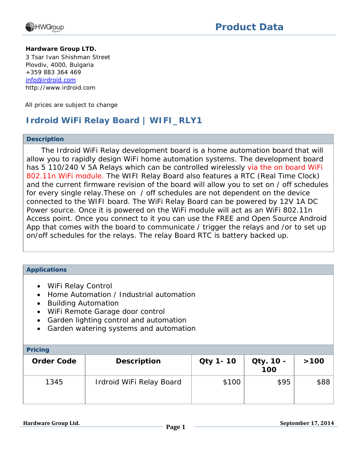

#### **Hardware Group LTD.**

3 Tsar Ivan Shishman Street Plovdiv, 4000, Bulgaria +359 883 364 469 [info@irdroid.com](mailto:info@irdroid.com) http://www.irdroid.com

All prices are subject to change

### **Irdroid WiFi Relay Board | WIFI\_RLY1**

#### **Description**

 The Irdroid WiFi Relay development board is a home automation board that will allow you to rapidly design WiFi home automation systems. The development board has 5 110/240 V 5A Relays which can be controlled wirelessly via the on board WiFi 802.11n WiFi module. The WIFI Relay Board also features a RTC (Real Time Clock) and the current firmware revision of the board will allow you to set on / off schedules for every single relay.These on / off schedules are not dependent on the device connected to the WIFI board. The WiFi Relay Board can be powered by 12V 1A DC Power source. Once it is powered on the WiFi module will act as an WiFi 802.11n Access point. Once you connect to it you can use the FREE and Open Source Android App that comes with the board to communicate / trigger the relays and /or to set up on/off schedules for the relays. The relay Board RTC is battery backed up.

### **Applications**

- WiFi Relay Control
- Home Automation / Industrial automation
- Building Automation
- WiFi Remote Garage door control
- Garden lighting control and automation
- Garden watering systems and automation

| <b>Pricing</b>    |                          |                 |                  |      |
|-------------------|--------------------------|-----------------|------------------|------|
| <b>Order Code</b> | <b>Description</b>       | <b>Qty 1-10</b> | Qty. 10 -<br>100 | >100 |
| 1345              | Irdroid WiFi Relay Board | \$100           | \$95             | \$88 |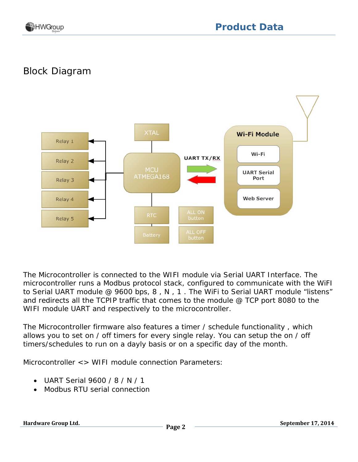# Block Diagram



The Microcontroller is connected to the WIFI module via Serial UART Interface. The microcontroller runs a Modbus protocol stack, configured to communicate with the WiFI to Serial UART module @ 9600 bps, 8 , N , 1 . The WiFi to Serial UART module "listens" and redirects all the TCPIP traffic that comes to the module @ TCP port 8080 to the WIFI module UART and respectively to the microcontroller.

The Microcontroller firmware also features a timer / schedule functionality , which allows you to set on / off timers for every single relay. You can setup the on / off timers/schedules to run on a dayly basis or on a specific day of the month.

Microcontroller <> WIFI module connection Parameters:

- UART Serial 9600 / 8 / N / 1
- Modbus RTU serial connection

**Hardware Group Ltd. Page 2 September 17, 2014**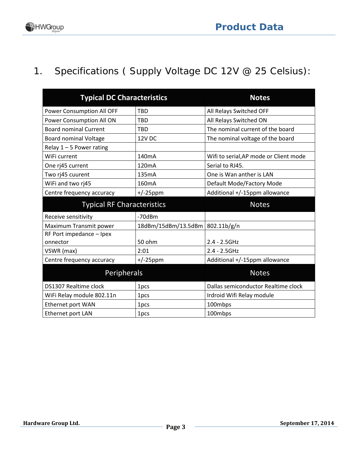# 1. Specifications ( Supply Voltage DC 12V @ 25 Celsius):

| <b>Typical DC Characteristics</b> | <b>Notes</b>        |                                        |
|-----------------------------------|---------------------|----------------------------------------|
| Power Consumption All OFF         | <b>TBD</b>          | All Relays Switched OFF                |
| Power Consumption All ON          | <b>TBD</b>          | All Relays Switched ON                 |
| <b>Board nominal Current</b>      | <b>TBD</b>          | The nominal current of the board       |
| <b>Board nominal Voltage</b>      | <b>12V DC</b>       | The nominal voltage of the board       |
| Relay $1 - 5$ Power rating        |                     |                                        |
| WiFi current                      | 140mA               | Wifi to serial, AP mode or Client mode |
| One rj45 current                  | 120 <sub>m</sub> A  | Serial to RJ45.                        |
| Two rj45 cuurent                  | 135mA               | One is Wan anther is LAN               |
| WiFi and two rj45                 | 160 <sub>m</sub> A  | Default Mode/Factory Mode              |
| Centre frequency accuracy         | $+/-25$ ppm         | Additional +/-15ppm allowance          |
| <b>Typical RF Characteristics</b> |                     | <b>Notes</b>                           |
| Receive sensitivity               | $-70$ d $Bm$        |                                        |
| Maximum Transmit power            | 18dBm/15dBm/13.5dBm | 802.11b/g/n                            |
| RF Port impedance - Ipex          |                     |                                        |
| onnector                          | 50 ohm              | $2.4 - 2.5$ GHz                        |
| VSWR (max)                        | 2:01                | $2.4 - 2.5$ GHz                        |
| Centre frequency accuracy         | $+/-25$ ppm         | Additional +/-15ppm allowance          |
| Peripherals                       |                     | <b>Notes</b>                           |
| DS1307 Realtime clock             | 1pcs                | Dallas semiconductor Realtime clock    |
| WiFi Relay module 802.11n         | 1pcs                | Irdroid Wifi Relay module              |
| Ethernet port WAN                 | 1pcs                | 100mbps                                |
| Ethernet port LAN                 | 1pcs                | 100mbps                                |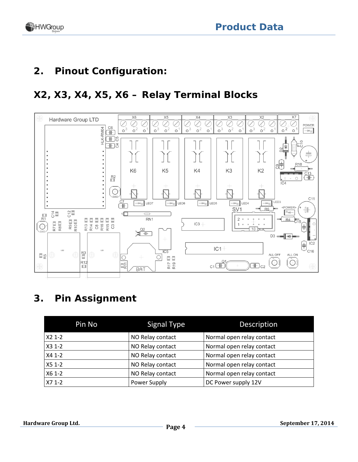

## **2. Pinout Configuration:**

## **X2, X3, X4, X5, X6 – Relay Terminal Blocks**



## **3. Pin Assignment**

| Pin No   | Signal Type      | Description               |
|----------|------------------|---------------------------|
| $X21-2$  | NO Relay contact | Normal open relay contact |
| $X31--2$ | NO Relay contact | Normal open relay contact |
| $X4 1-2$ | NO Relay contact | Normal open relay contact |
| $X51--2$ | NO Relay contact | Normal open relay contact |
| X6 1-2   | NO Relay contact | Normal open relay contact |
| $X71-2$  | Power Supply     | DC Power supply 12V       |

**Hardware Group Ltd. Page 4** September 17, 2014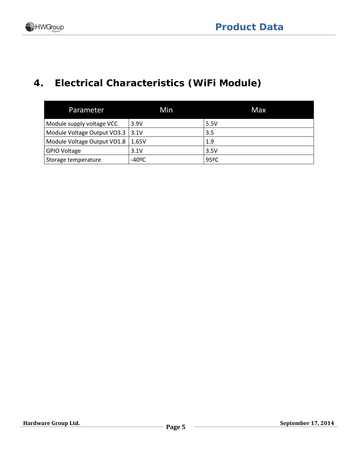# **4. Electrical Characteristics (WiFi Module)**

| Parameter                           | Min   | Max  |
|-------------------------------------|-------|------|
| Module supply voltage VCC           | 3.9V  | 5.5V |
| Module Voltage Output VO3.3 3.1V    |       | 3.5  |
| Module Voltage Output VO1.8   1.65V |       | 1.9  |
| <b>GPIO Voltage</b>                 | 3.1V  | 3.5V |
| Storage temperature                 | -40ºC | 95ºC |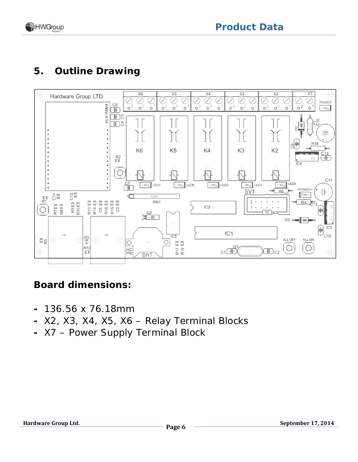

## **5. Outline Drawing**



## **Board dimensions:**

- **-** 136.56 x 76.18mm
- **-** X2, X3, X4, X5, X6 Relay Terminal Blocks
- **-** X7 Power Supply Terminal Block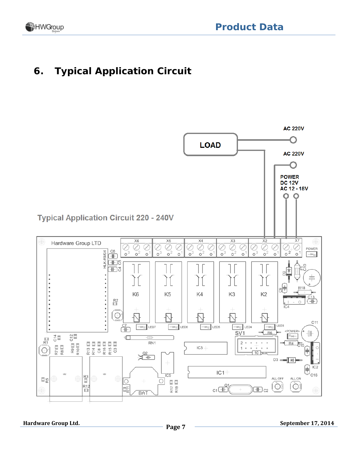

## **6. Typical Application Circuit**

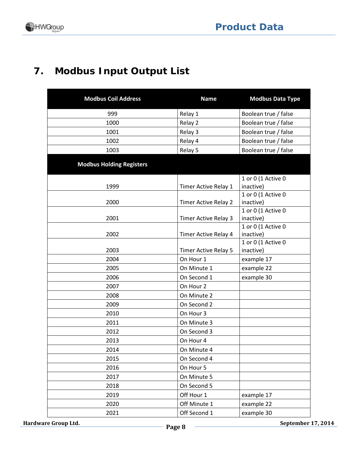# **7. Modbus Input Output List**

| <b>Modbus Coil Address</b>      | <b>Name</b>          | <b>Modbus Data Type</b>         |  |
|---------------------------------|----------------------|---------------------------------|--|
| 999                             | Relay 1              | Boolean true / false            |  |
| 1000                            | Relay 2              | Boolean true / false            |  |
| 1001                            | Relay 3              | Boolean true / false            |  |
| 1002                            | Relay 4              | Boolean true / false            |  |
| 1003                            | Relay 5              | Boolean true / false            |  |
| <b>Modbus Holding Registers</b> |                      |                                 |  |
|                                 |                      | 1 or 0 (1 Active 0              |  |
| 1999                            | Timer Active Relay 1 | inactive)                       |  |
|                                 |                      | 1 or 0 (1 Active 0              |  |
| 2000                            | Timer Active Relay 2 | inactive)                       |  |
|                                 |                      | 1 or 0 (1 Active 0              |  |
| 2001                            | Timer Active Relay 3 | inactive)                       |  |
| 2002                            | Timer Active Relay 4 | 1 or 0 (1 Active 0<br>inactive) |  |
|                                 |                      | 1 or 0 (1 Active 0              |  |
| 2003                            | Timer Active Relay 5 | inactive)                       |  |
| 2004                            | On Hour 1            | example 17                      |  |
| 2005                            | On Minute 1          | example 22                      |  |
| 2006                            | On Second 1          | example 30                      |  |
| 2007                            | On Hour 2            |                                 |  |
| 2008                            | On Minute 2          |                                 |  |
| 2009                            | On Second 2          |                                 |  |
| 2010                            | On Hour 3            |                                 |  |
| 2011                            | On Minute 3          |                                 |  |
| 2012                            | On Second 3          |                                 |  |
| 2013                            | On Hour 4            |                                 |  |
| 2014                            | On Minute 4          |                                 |  |
| 2015                            | On Second 4          |                                 |  |
| 2016                            | On Hour 5            |                                 |  |
| 2017                            | On Minute 5          |                                 |  |
| 2018                            | On Second 5          |                                 |  |
| 2019                            | Off Hour 1           | example 17                      |  |
| 2020                            | Off Minute 1         | example 22                      |  |
| 2021                            | Off Second 1         | example 30                      |  |

**Hardware Group Ltd. Page 8** September 17, 2014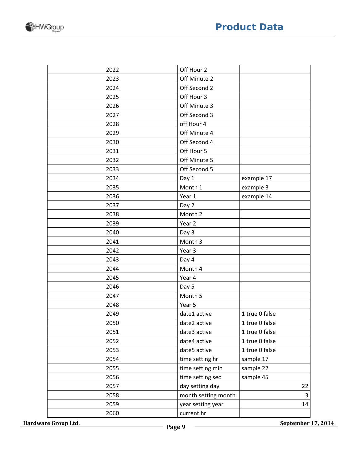| luct Data |  |
|-----------|--|
|           |  |

| 2022 | Off Hour 2          |                |
|------|---------------------|----------------|
| 2023 | Off Minute 2        |                |
| 2024 | Off Second 2        |                |
| 2025 | Off Hour 3          |                |
| 2026 | Off Minute 3        |                |
| 2027 | Off Second 3        |                |
| 2028 | off Hour 4          |                |
| 2029 | Off Minute 4        |                |
| 2030 | Off Second 4        |                |
| 2031 | Off Hour 5          |                |
| 2032 | Off Minute 5        |                |
| 2033 | Off Second 5        |                |
| 2034 | Day 1               | example 17     |
| 2035 | Month 1             | example 3      |
| 2036 | Year 1              | example 14     |
| 2037 | Day 2               |                |
| 2038 | Month 2             |                |
| 2039 | Year 2              |                |
| 2040 | Day 3               |                |
| 2041 | Month 3             |                |
| 2042 | Year 3              |                |
| 2043 | Day 4               |                |
| 2044 | Month 4             |                |
| 2045 | Year 4              |                |
| 2046 | Day 5               |                |
| 2047 | Month 5             |                |
| 2048 | Year 5              |                |
| 2049 | date1 active        | 1 true 0 false |
| 2050 | date2 active        | 1 true 0 false |
| 2051 | date3 active        | 1 true 0 false |
| 2052 | date4 active        | 1 true 0 false |
| 2053 | date5 active        | 1 true 0 false |
| 2054 | time setting hr     | sample 17      |
| 2055 | time setting min    | sample 22      |
| 2056 | time setting sec    | sample 45      |
| 2057 | day setting day     | 22             |
| 2058 | month setting month | 3              |
| 2059 | year setting year   | 14             |
| 2060 | current hr          |                |



**Hardware Group Ltd. Page 9 Constant Constrainer 17, 2014**